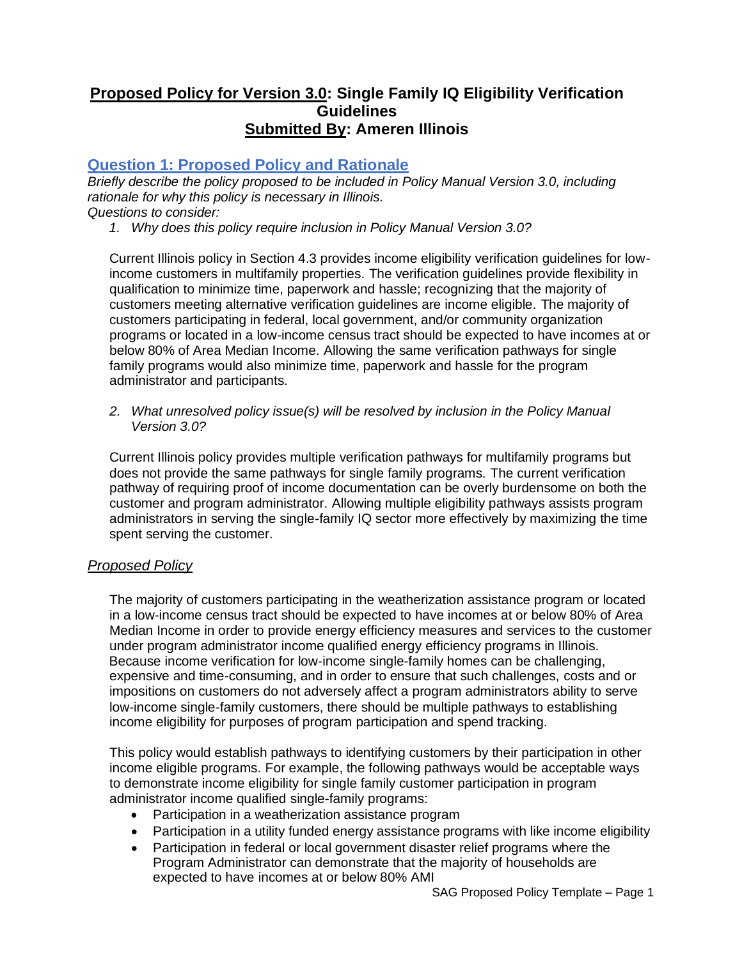# **Proposed Policy for Version 3.0: Single Family IQ Eligibility Verification Guidelines Submitted By: Ameren Illinois**

# **Question 1: Proposed Policy and Rationale**

*Briefly describe the policy proposed to be included in Policy Manual Version 3.0, including rationale for why this policy is necessary in Illinois. Questions to consider:*

*1. Why does this policy require inclusion in Policy Manual Version 3.0?*

Current Illinois policy in Section 4.3 provides income eligibility verification guidelines for lowincome customers in multifamily properties. The verification guidelines provide flexibility in qualification to minimize time, paperwork and hassle; recognizing that the majority of customers meeting alternative verification guidelines are income eligible. The majority of customers participating in federal, local government, and/or community organization programs or located in a low-income census tract should be expected to have incomes at or below 80% of Area Median Income. Allowing the same verification pathways for single family programs would also minimize time, paperwork and hassle for the program administrator and participants.

*2. What unresolved policy issue(s) will be resolved by inclusion in the Policy Manual Version 3.0?*

Current Illinois policy provides multiple verification pathways for multifamily programs but does not provide the same pathways for single family programs. The current verification pathway of requiring proof of income documentation can be overly burdensome on both the customer and program administrator. Allowing multiple eligibility pathways assists program administrators in serving the single-family IQ sector more effectively by maximizing the time spent serving the customer.

#### *Proposed Policy*

The majority of customers participating in the weatherization assistance program or located in a low-income census tract should be expected to have incomes at or below 80% of Area Median Income in order to provide energy efficiency measures and services to the customer under program administrator income qualified energy efficiency programs in Illinois. Because income verification for low-income single-family homes can be challenging, expensive and time-consuming, and in order to ensure that such challenges, costs and or impositions on customers do not adversely affect a program administrators ability to serve low-income single-family customers, there should be multiple pathways to establishing income eligibility for purposes of program participation and spend tracking.

This policy would establish pathways to identifying customers by their participation in other income eligible programs. For example, the following pathways would be acceptable ways to demonstrate income eligibility for single family customer participation in program administrator income qualified single-family programs:

- Participation in a weatherization assistance program
- Participation in a utility funded energy assistance programs with like income eligibility
- Participation in federal or local government disaster relief programs where the Program Administrator can demonstrate that the majority of households are expected to have incomes at or below 80% AMI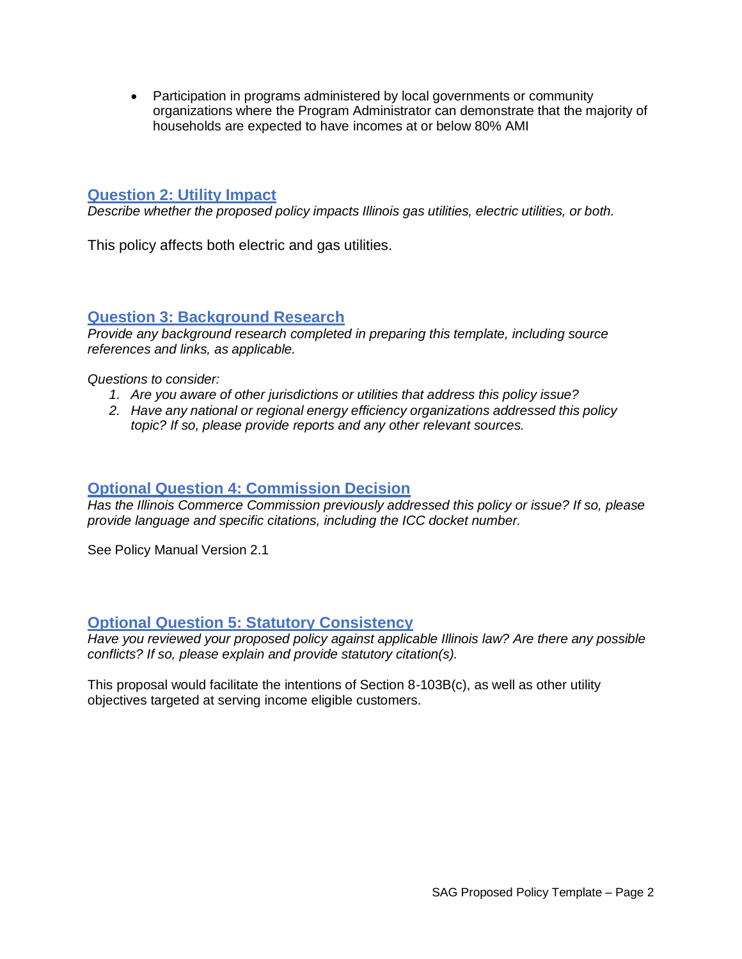• Participation in programs administered by local governments or community organizations where the Program Administrator can demonstrate that the majority of households are expected to have incomes at or below 80% AMI

#### **Question 2: Utility Impact**

*Describe whether the proposed policy impacts Illinois gas utilities, electric utilities, or both.*

This policy affects both electric and gas utilities.

#### **Question 3: Background Research**

*Provide any background research completed in preparing this template, including source references and links, as applicable.*

*Questions to consider:*

- *1. Are you aware of other jurisdictions or utilities that address this policy issue?*
- *2. Have any national or regional energy efficiency organizations addressed this policy topic? If so, please provide reports and any other relevant sources.*

### **Optional Question 4: Commission Decision**

*Has the Illinois Commerce Commission previously addressed this policy or issue? If so, please provide language and specific citations, including the ICC docket number.*

See Policy Manual Version 2.1

#### **Optional Question 5: Statutory Consistency**

*Have you reviewed your proposed policy against applicable Illinois law? Are there any possible conflicts? If so, please explain and provide statutory citation(s).*

This proposal would facilitate the intentions of Section 8-103B(c), as well as other utility objectives targeted at serving income eligible customers.